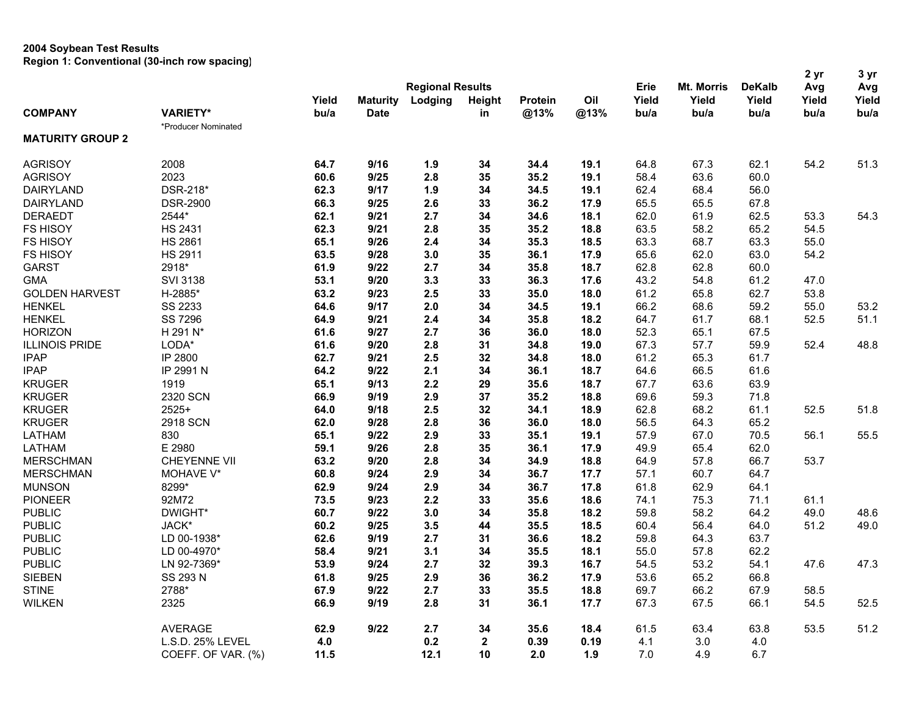## **2004 Soybean Test Results Region 1: Conventional (30-inch row spacing)**

|                         |                     |       |                 |                                    |             |         |      |               |                            |                        | 2 yr         | 3 yr         |
|-------------------------|---------------------|-------|-----------------|------------------------------------|-------------|---------|------|---------------|----------------------------|------------------------|--------------|--------------|
|                         |                     | Yield | <b>Maturity</b> | <b>Regional Results</b><br>Lodging | Height      | Protein | Oil  | Erie<br>Yield | <b>Mt. Morris</b><br>Yield | <b>DeKalb</b><br>Yield | Avg<br>Yield | Avg<br>Yield |
| <b>COMPANY</b>          | <b>VARIETY*</b>     | bu/a  | <b>Date</b>     |                                    | in          | @13%    | @13% | bu/a          | bu/a                       | bu/a                   | bu/a         | bu/a         |
| <b>MATURITY GROUP 2</b> | *Producer Nominated |       |                 |                                    |             |         |      |               |                            |                        |              |              |
| <b>AGRISOY</b>          | 2008                | 64.7  | 9/16            | 1.9                                | 34          | 34.4    | 19.1 | 64.8          | 67.3                       | 62.1                   | 54.2         | 51.3         |
| <b>AGRISOY</b>          | 2023                | 60.6  | 9/25            | 2.8                                | 35          | 35.2    | 19.1 | 58.4          | 63.6                       | 60.0                   |              |              |
| <b>DAIRYLAND</b>        | DSR-218*            | 62.3  | 9/17            | 1.9                                | 34          | 34.5    | 19.1 | 62.4          | 68.4                       | 56.0                   |              |              |
| <b>DAIRYLAND</b>        | <b>DSR-2900</b>     | 66.3  | 9/25            | 2.6                                | 33          | 36.2    | 17.9 | 65.5          | 65.5                       | 67.8                   |              |              |
| <b>DERAEDT</b>          | 2544*               | 62.1  | 9/21            | 2.7                                | 34          | 34.6    | 18.1 | 62.0          | 61.9                       | 62.5                   | 53.3         | 54.3         |
| <b>FS HISOY</b>         | <b>HS 2431</b>      | 62.3  | 9/21            | 2.8                                | 35          | 35.2    | 18.8 | 63.5          | 58.2                       | 65.2                   | 54.5         |              |
| <b>FS HISOY</b>         | <b>HS 2861</b>      | 65.1  | 9/26            | 2.4                                | 34          | 35.3    | 18.5 | 63.3          | 68.7                       | 63.3                   | 55.0         |              |
| <b>FS HISOY</b>         | <b>HS 2911</b>      | 63.5  | 9/28            | 3.0                                | 35          | 36.1    | 17.9 | 65.6          | 62.0                       | 63.0                   | 54.2         |              |
| <b>GARST</b>            | 2918*               | 61.9  | 9/22            | 2.7                                | 34          | 35.8    | 18.7 | 62.8          | 62.8                       | 60.0                   |              |              |
| <b>GMA</b>              | <b>SVI 3138</b>     | 53.1  | 9/20            | 3.3                                | 33          | 36.3    | 17.6 | 43.2          | 54.8                       | 61.2                   | 47.0         |              |
| <b>GOLDEN HARVEST</b>   | H-2885*             | 63.2  | 9/23            | 2.5                                | 33          | 35.0    | 18.0 | 61.2          | 65.8                       | 62.7                   | 53.8         |              |
| <b>HENKEL</b>           | SS 2233             | 64.6  | 9/17            | 2.0                                | 34          | 34.5    | 19.1 | 66.2          | 68.6                       | 59.2                   | 55.0         | 53.2         |
| <b>HENKEL</b>           | SS 7296             | 64.9  | 9/21            | 2.4                                | 34          | 35.8    | 18.2 | 64.7          | 61.7                       | 68.1                   | 52.5         | 51.1         |
| <b>HORIZON</b>          | H 291 N*            | 61.6  | 9/27            | 2.7                                | 36          | 36.0    | 18.0 | 52.3          | 65.1                       | 67.5                   |              |              |
| <b>ILLINOIS PRIDE</b>   | LODA*               | 61.6  | 9/20            | 2.8                                | 31          | 34.8    | 19.0 | 67.3          | 57.7                       | 59.9                   | 52.4         | 48.8         |
| <b>IPAP</b>             | IP 2800             | 62.7  | 9/21            | 2.5                                | 32          | 34.8    | 18.0 | 61.2          | 65.3                       | 61.7                   |              |              |
| <b>IPAP</b>             | IP 2991 N           | 64.2  | 9/22            | 2.1                                | 34          | 36.1    | 18.7 | 64.6          | 66.5                       | 61.6                   |              |              |
| <b>KRUGER</b>           | 1919                | 65.1  | 9/13            | 2.2                                | 29          | 35.6    | 18.7 | 67.7          | 63.6                       | 63.9                   |              |              |
| <b>KRUGER</b>           | 2320 SCN            | 66.9  | 9/19            | 2.9                                | 37          | 35.2    | 18.8 | 69.6          | 59.3                       | 71.8                   |              |              |
| <b>KRUGER</b>           | 2525+               | 64.0  | 9/18            | 2.5                                | 32          | 34.1    | 18.9 | 62.8          | 68.2                       | 61.1                   | 52.5         | 51.8         |
| <b>KRUGER</b>           | 2918 SCN            | 62.0  | 9/28            | 2.8                                | 36          | 36.0    | 18.0 | 56.5          | 64.3                       | 65.2                   |              |              |
| LATHAM                  | 830                 | 65.1  | 9/22            | 2.9                                | 33          | 35.1    | 19.1 | 57.9          | 67.0                       | 70.5                   | 56.1         | 55.5         |
| LATHAM                  | E 2980              | 59.1  | 9/26            | 2.8                                | 35          | 36.1    | 17.9 | 49.9          | 65.4                       | 62.0                   |              |              |
| <b>MERSCHMAN</b>        | <b>CHEYENNE VII</b> | 63.2  | 9/20            | 2.8                                | 34          | 34.9    | 18.8 | 64.9          | 57.8                       | 66.7                   | 53.7         |              |
| <b>MERSCHMAN</b>        | MOHAVE V*           | 60.8  | 9/24            | 2.9                                | 34          | 36.7    | 17.7 | 57.1          | 60.7                       | 64.7                   |              |              |
| <b>MUNSON</b>           | 8299*               | 62.9  | 9/24            | 2.9                                | 34          | 36.7    | 17.8 | 61.8          | 62.9                       | 64.1                   |              |              |
| <b>PIONEER</b>          | 92M72               | 73.5  | 9/23            | 2.2                                | 33          | 35.6    | 18.6 | 74.1          | 75.3                       | 71.1                   | 61.1         |              |
| <b>PUBLIC</b>           | DWIGHT*             | 60.7  | 9/22            | 3.0                                | 34          | 35.8    | 18.2 | 59.8          | 58.2                       | 64.2                   | 49.0         | 48.6         |
| <b>PUBLIC</b>           | JACK*               | 60.2  | 9/25            | 3.5                                | 44          | 35.5    | 18.5 | 60.4          | 56.4                       | 64.0                   | 51.2         | 49.0         |
| <b>PUBLIC</b>           | LD 00-1938*         | 62.6  | 9/19            | 2.7                                | 31          | 36.6    | 18.2 | 59.8          | 64.3                       | 63.7                   |              |              |
| <b>PUBLIC</b>           | LD 00-4970*         | 58.4  | 9/21            | 3.1                                | 34          | 35.5    | 18.1 | 55.0          | 57.8                       | 62.2                   |              |              |
| <b>PUBLIC</b>           | LN 92-7369*         | 53.9  | 9/24            | 2.7                                | 32          | 39.3    | 16.7 |               | 53.2                       |                        | 47.6         | 47.3         |
| <b>SIEBEN</b>           |                     |       | 9/25            |                                    |             |         |      | 54.5          | 65.2                       | 54.1                   |              |              |
| <b>STINE</b>            | SS 293 N            | 61.8  |                 | 2.9                                | 36          | 36.2    | 17.9 | 53.6          |                            | 66.8                   | 58.5         |              |
|                         | 2788*               | 67.9  | 9/22            | 2.7                                | 33          | 35.5    | 18.8 | 69.7          | 66.2                       | 67.9                   |              |              |
| <b>WILKEN</b>           | 2325                | 66.9  | 9/19            | 2.8                                | 31          | 36.1    | 17.7 | 67.3          | 67.5                       | 66.1                   | 54.5         | 52.5         |
|                         | AVERAGE             | 62.9  | 9/22            | 2.7                                | 34          | 35.6    | 18.4 | 61.5          | 63.4                       | 63.8                   | 53.5         | 51.2         |
|                         | L.S.D. 25% LEVEL    | 4.0   |                 | 0.2                                | $\mathbf 2$ | 0.39    | 0.19 | 4.1           | 3.0                        | 4.0                    |              |              |
|                         | COEFF. OF VAR. (%)  | 11.5  |                 | 12.1                               | 10          | 2.0     | 1.9  | 7.0           | 4.9                        | 6.7                    |              |              |